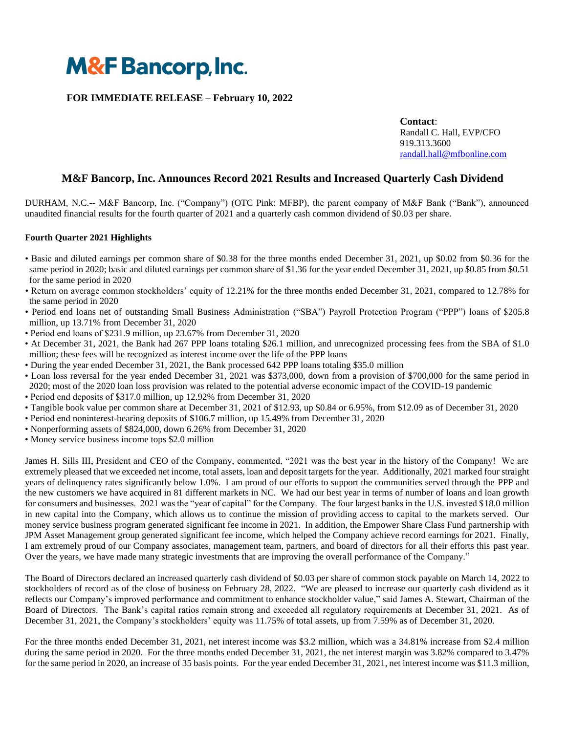

## **FOR IMMEDIATE RELEASE – February 10, 2022**

**Contact**: Randall C. Hall, EVP/CFO 919.313.3600 [randall.hall@mfbonline.com](mailto:randall.hall@mfbonline.com)

# **M&F Bancorp, Inc. Announces Record 2021 Results and Increased Quarterly Cash Dividend**

DURHAM, N.C.-- M&F Bancorp, Inc. ("Company") (OTC Pink: MFBP), the parent company of M&F Bank ("Bank"), announced unaudited financial results for the fourth quarter of 2021 and a quarterly cash common dividend of \$0.03 per share.

### **Fourth Quarter 2021 Highlights**

- Basic and diluted earnings per common share of \$0.38 for the three months ended December 31, 2021, up \$0.02 from \$0.36 for the same period in 2020; basic and diluted earnings per common share of \$1.36 for the year ended December 31, 2021, up \$0.85 from \$0.51 for the same period in 2020
- Return on average common stockholders' equity of 12.21% for the three months ended December 31, 2021, compared to 12.78% for the same period in 2020
- Period end loans net of outstanding Small Business Administration ("SBA") Payroll Protection Program ("PPP") loans of \$205.8 million, up 13.71% from December 31, 2020
- Period end loans of \$231.9 million, up 23.67% from December 31, 2020
- At December 31, 2021, the Bank had 267 PPP loans totaling \$26.1 million, and unrecognized processing fees from the SBA of \$1.0 million; these fees will be recognized as interest income over the life of the PPP loans
- During the year ended December 31, 2021, the Bank processed 642 PPP loans totaling \$35.0 million
- Loan loss reversal for the year ended December 31, 2021 was \$373,000, down from a provision of \$700,000 for the same period in 2020; most of the 2020 loan loss provision was related to the potential adverse economic impact of the COVID-19 pandemic
- Period end deposits of \$317.0 million, up 12.92% from December 31, 2020
- Tangible book value per common share at December 31, 2021 of \$12.93, up \$0.84 or 6.95%, from \$12.09 as of December 31, 2020
- Period end noninterest-bearing deposits of \$106.7 million, up 15.49% from December 31, 2020
- Nonperforming assets of \$824,000, down 6.26% from December 31, 2020
- Money service business income tops \$2.0 million

James H. Sills III, President and CEO of the Company, commented, "2021 was the best year in the history of the Company! We are extremely pleased that we exceeded net income, total assets, loan and deposit targets for the year. Additionally, 2021 marked four straight years of delinquency rates significantly below 1.0%. I am proud of our efforts to support the communities served through the PPP and the new customers we have acquired in 81 different markets in NC. We had our best year in terms of number of loans and loan growth for consumers and businesses. 2021 was the "year of capital" for the Company. The four largest banks in the U.S. invested \$18.0 million in new capital into the Company, which allows us to continue the mission of providing access to capital to the markets served. Our money service business program generated significant fee income in 2021. In addition, the Empower Share Class Fund partnership with JPM Asset Management group generated significant fee income, which helped the Company achieve record earnings for 2021. Finally, I am extremely proud of our Company associates, management team, partners, and board of directors for all their efforts this past year. Over the years, we have made many strategic investments that are improving the overall performance of the Company."

The Board of Directors declared an increased quarterly cash dividend of \$0.03 per share of common stock payable on March 14, 2022 to stockholders of record as of the close of business on February 28, 2022. "We are pleased to increase our quarterly cash dividend as it reflects our Company's improved performance and commitment to enhance stockholder value," said James A. Stewart, Chairman of the Board of Directors. The Bank's capital ratios remain strong and exceeded all regulatory requirements at December 31, 2021. As of December 31, 2021, the Company's stockholders' equity was 11.75% of total assets, up from 7.59% as of December 31, 2020.

For the three months ended December 31, 2021, net interest income was \$3.2 million, which was a 34.81% increase from \$2.4 million during the same period in 2020. For the three months ended December 31, 2021, the net interest margin was 3.82% compared to 3.47% for the same period in 2020, an increase of 35 basis points. For the year ended December 31, 2021, net interest income was \$11.3 million,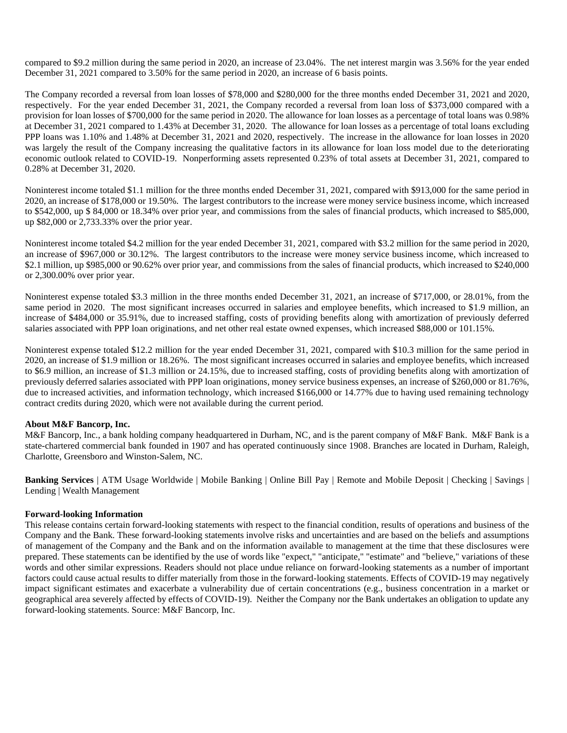compared to \$9.2 million during the same period in 2020, an increase of 23.04%. The net interest margin was 3.56% for the year ended December 31, 2021 compared to 3.50% for the same period in 2020, an increase of 6 basis points.

The Company recorded a reversal from loan losses of \$78,000 and \$280,000 for the three months ended December 31, 2021 and 2020, respectively. For the year ended December 31, 2021, the Company recorded a reversal from loan loss of \$373,000 compared with a provision for loan losses of \$700,000 for the same period in 2020. The allowance for loan losses as a percentage of total loans was 0.98% at December 31, 2021 compared to 1.43% at December 31, 2020. The allowance for loan losses as a percentage of total loans excluding PPP loans was 1.10% and 1.48% at December 31, 2021 and 2020, respectively. The increase in the allowance for loan losses in 2020 was largely the result of the Company increasing the qualitative factors in its allowance for loan loss model due to the deteriorating economic outlook related to COVID-19. Nonperforming assets represented 0.23% of total assets at December 31, 2021, compared to 0.28% at December 31, 2020.

Noninterest income totaled \$1.1 million for the three months ended December 31, 2021, compared with \$913,000 for the same period in 2020, an increase of \$178,000 or 19.50%. The largest contributors to the increase were money service business income, which increased to \$542,000, up \$ 84,000 or 18.34% over prior year, and commissions from the sales of financial products, which increased to \$85,000, up \$82,000 or 2,733.33% over the prior year.

Noninterest income totaled \$4.2 million for the year ended December 31, 2021, compared with \$3.2 million for the same period in 2020, an increase of \$967,000 or 30.12%. The largest contributors to the increase were money service business income, which increased to \$2.1 million, up \$985,000 or 90.62% over prior year, and commissions from the sales of financial products, which increased to \$240,000 or 2,300.00% over prior year.

Noninterest expense totaled \$3.3 million in the three months ended December 31, 2021, an increase of \$717,000, or 28.01%, from the same period in 2020. The most significant increases occurred in salaries and employee benefits, which increased to \$1.9 million, an increase of \$484,000 or 35.91%, due to increased staffing, costs of providing benefits along with amortization of previously deferred salaries associated with PPP loan originations, and net other real estate owned expenses, which increased \$88,000 or 101.15%.

Noninterest expense totaled \$12.2 million for the year ended December 31, 2021, compared with \$10.3 million for the same period in 2020, an increase of \$1.9 million or 18.26%. The most significant increases occurred in salaries and employee benefits, which increased to \$6.9 million, an increase of \$1.3 million or 24.15%, due to increased staffing, costs of providing benefits along with amortization of previously deferred salaries associated with PPP loan originations, money service business expenses, an increase of \$260,000 or 81.76%, due to increased activities, and information technology, which increased \$166,000 or 14.77% due to having used remaining technology contract credits during 2020, which were not available during the current period.

#### **About M&F Bancorp, Inc.**

M&F Bancorp, Inc., a bank holding company headquartered in Durham, NC, and is the parent company of M&F Bank. M&F Bank is a state-chartered commercial bank founded in 1907 and has operated continuously since 1908. Branches are located in Durham, Raleigh, Charlotte, Greensboro and Winston-Salem, NC.

**Banking Services** | ATM Usage Worldwide | Mobile Banking | Online Bill Pay | Remote and Mobile Deposit | Checking | Savings | Lending | Wealth Management

#### **Forward-looking Information**

This release contains certain forward-looking statements with respect to the financial condition, results of operations and business of the Company and the Bank. These forward-looking statements involve risks and uncertainties and are based on the beliefs and assumptions of management of the Company and the Bank and on the information available to management at the time that these disclosures were prepared. These statements can be identified by the use of words like "expect," "anticipate," "estimate" and "believe," variations of these words and other similar expressions. Readers should not place undue reliance on forward-looking statements as a number of important factors could cause actual results to differ materially from those in the forward-looking statements. Effects of COVID-19 may negatively impact significant estimates and exacerbate a vulnerability due of certain concentrations (e.g., business concentration in a market or geographical area severely affected by effects of COVID-19). Neither the Company nor the Bank undertakes an obligation to update any forward-looking statements. Source: M&F Bancorp, Inc.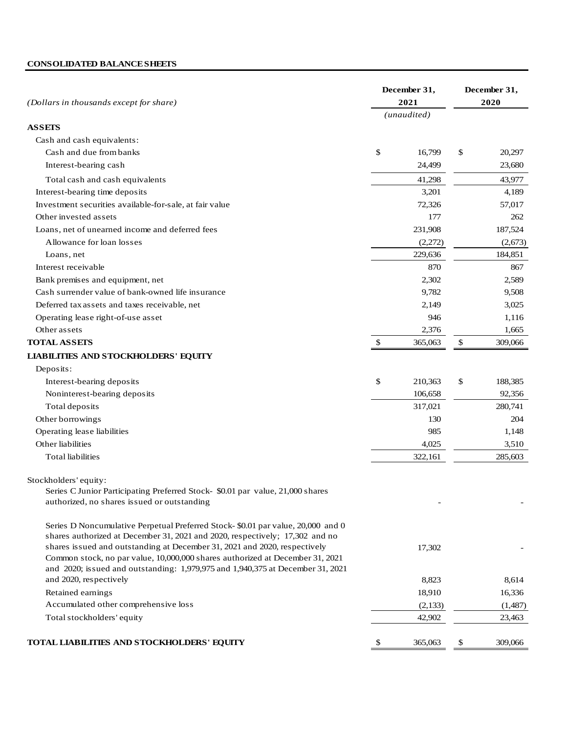# **CONSOLIDATED BALANCE SHEETS**

| (Dollars in thousands except for share)                                                                                                                         |                | December 31,<br>2021 | December 31,<br>2020 |         |  |
|-----------------------------------------------------------------------------------------------------------------------------------------------------------------|----------------|----------------------|----------------------|---------|--|
|                                                                                                                                                                 |                | (unaudited)          |                      |         |  |
| <b>ASSETS</b>                                                                                                                                                   |                |                      |                      |         |  |
| Cash and cash equivalents:                                                                                                                                      |                |                      |                      |         |  |
| Cash and due from banks                                                                                                                                         | \$             | 16,799               | \$                   | 20,297  |  |
| Interest-bearing cash                                                                                                                                           |                | 24,499               |                      | 23,680  |  |
| Total cash and cash equivalents                                                                                                                                 |                | 41,298               |                      | 43,977  |  |
| Interest-bearing time deposits                                                                                                                                  |                | 3,201                |                      | 4,189   |  |
| Investment securities available-for-sale, at fair value                                                                                                         |                | 72,326               |                      | 57,017  |  |
| Other invested assets                                                                                                                                           |                | 177                  |                      | 262     |  |
| Loans, net of unearned income and deferred fees                                                                                                                 |                | 231,908              |                      | 187,524 |  |
| Allowance for loan losses                                                                                                                                       |                | (2,272)              |                      | (2,673) |  |
| Loans, net                                                                                                                                                      |                | 229,636              |                      | 184,851 |  |
| Interest receivable                                                                                                                                             |                | 870                  |                      | 867     |  |
| Bank premises and equipment, net                                                                                                                                |                | 2,302                |                      | 2,589   |  |
| Cash surrender value of bank-owned life insurance                                                                                                               |                | 9,782                |                      | 9,508   |  |
| Deferred tax assets and taxes receivable, net                                                                                                                   |                | 2,149                |                      | 3,025   |  |
| Operating lease right-of-use asset                                                                                                                              |                | 946                  |                      | 1,116   |  |
| Other assets                                                                                                                                                    |                | 2,376                |                      | 1,665   |  |
| <b>TOTAL ASSETS</b>                                                                                                                                             | $\mathfrak{F}$ | 365,063              | \$                   | 309,066 |  |
| <b>LIABILITIES AND STOCKHOLDERS' EQUITY</b>                                                                                                                     |                |                      |                      |         |  |
| Deposits:                                                                                                                                                       |                |                      |                      |         |  |
| Interest-bearing deposits                                                                                                                                       | \$             | 210,363              | \$                   | 188,385 |  |
| Noninterest-bearing deposits                                                                                                                                    |                | 106,658              |                      | 92,356  |  |
| Total deposits                                                                                                                                                  |                | 317,021              |                      | 280,741 |  |
| Other borrowings                                                                                                                                                |                | 130                  |                      | 204     |  |
| Operating lease liabilities                                                                                                                                     |                | 985                  |                      | 1,148   |  |
| Other liabilities                                                                                                                                               |                | 4,025                |                      | 3,510   |  |
| <b>Total liabilities</b>                                                                                                                                        |                | 322,161              |                      | 285,603 |  |
|                                                                                                                                                                 |                |                      |                      |         |  |
| Stockholders' equity:                                                                                                                                           |                |                      |                      |         |  |
| Series C Junior Participating Preferred Stock- \$0.01 par value, 21,000 shares                                                                                  |                |                      |                      |         |  |
| authorized, no shares issued or outstanding                                                                                                                     |                |                      |                      |         |  |
|                                                                                                                                                                 |                |                      |                      |         |  |
| Series D Noncumulative Perpetual Preferred Stock-\$0.01 par value, 20,000 and 0                                                                                 |                |                      |                      |         |  |
| shares authorized at December 31, 2021 and 2020, respectively; 17,302 and no                                                                                    |                |                      |                      |         |  |
| shares issued and outstanding at December 31, 2021 and 2020, respectively                                                                                       |                | 17,302               |                      |         |  |
| Common stock, no par value, 10,000,000 shares authorized at December 31, 2021<br>and 2020; issued and outstanding: 1,979,975 and 1,940,375 at December 31, 2021 |                |                      |                      |         |  |
| and 2020, respectively                                                                                                                                          |                | 8,823                |                      | 8,614   |  |
| Retained earnings                                                                                                                                               |                | 18,910               |                      | 16,336  |  |
| Accumulated other comprehensive loss                                                                                                                            |                | (2,133)              |                      | (1,487) |  |
| Total stockholders' equity                                                                                                                                      |                | 42,902               |                      | 23,463  |  |
|                                                                                                                                                                 |                |                      |                      |         |  |
| TOTAL LIABILITIES AND STOCKHOLDERS' EQUITY                                                                                                                      | \$             | 365,063              | \$                   | 309,066 |  |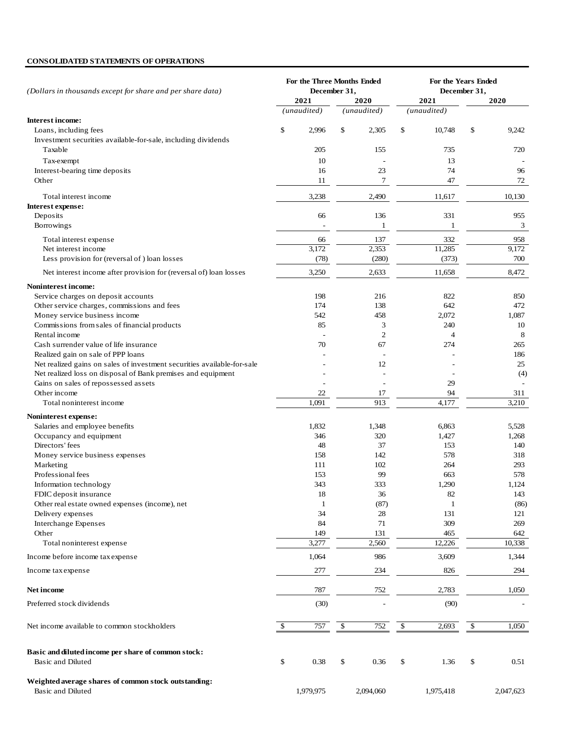## **CONSOLIDATED STATEMENTS OF OPERATIONS**

| (Dollars in thousands except for share and per share data)                             | For the Three Months Ended<br>December 31, |                          |    | For the Years Ended<br>December 31, |    |                |    |              |  |
|----------------------------------------------------------------------------------------|--------------------------------------------|--------------------------|----|-------------------------------------|----|----------------|----|--------------|--|
|                                                                                        |                                            | 2021                     |    | 2020                                |    | 2021           |    | 2020         |  |
|                                                                                        |                                            | (unaudited)              |    | (unaudited)                         |    | (unaudited)    |    |              |  |
| <b>Interest income:</b>                                                                |                                            |                          |    |                                     |    |                |    |              |  |
| Loans, including fees<br>Investment securities available-for-sale, including dividends | \$                                         | 2,996                    | \$ | 2,305                               | \$ | 10,748         | \$ | 9,242        |  |
| Taxable                                                                                |                                            | 205                      |    | 155                                 |    | 735            |    | 720          |  |
| Tax-exempt                                                                             |                                            | 10                       |    |                                     |    | 13             |    |              |  |
| Interest-bearing time deposits                                                         |                                            | 16                       |    | 23                                  |    | 74             |    | 96           |  |
| Other                                                                                  |                                            | 11                       |    | 7                                   |    | 47             |    | 72           |  |
|                                                                                        |                                            |                          |    |                                     |    |                |    |              |  |
| Total interest income                                                                  |                                            | 3,238                    |    | 2,490                               |    | 11,617         |    | 10,130       |  |
| Interest expense:                                                                      |                                            |                          |    |                                     |    |                |    |              |  |
| Deposits                                                                               |                                            | 66                       |    | 136                                 |    | 331            |    | 955          |  |
| Borrowings                                                                             |                                            | $\overline{\phantom{a}}$ |    | $\mathbf{1}$                        |    | 1              |    | 3            |  |
| Total interest expense                                                                 |                                            | 66                       |    | 137                                 |    | 332            |    | 958          |  |
| Net interest income                                                                    |                                            | 3,172                    |    | 2,353                               |    | 11,285         |    | 9,172        |  |
| Less provision for (reversal of) loan losses                                           |                                            | (78)                     |    | (280)                               |    | (373)          |    | 700          |  |
| Net interest income after provision for (reversal of) loan losses                      |                                            | 3,250                    |    | 2,633                               |    | 11,658         |    | 8,472        |  |
| <b>Noninterest income:</b>                                                             |                                            |                          |    |                                     |    |                |    |              |  |
| Service charges on deposit accounts                                                    |                                            | 198                      |    | 216                                 |    | 822            |    | 850          |  |
| Other service charges, commissions and fees                                            |                                            | 174                      |    | 138                                 |    | 642            |    | 472          |  |
| Money service business income                                                          |                                            | 542                      |    | 458                                 |    | 2,072          |    | 1,087        |  |
| Commissions from sales of financial products                                           |                                            | 85                       |    | 3                                   |    | 240            |    | 10           |  |
| Rental income                                                                          |                                            |                          |    | $\overline{2}$                      |    | $\overline{4}$ |    | 8            |  |
| Cash surrender value of life insurance                                                 |                                            | 70                       |    | 67                                  |    | 274            |    | 265          |  |
| Realized gain on sale of PPP loans                                                     |                                            |                          |    | ÷                                   |    |                |    | 186          |  |
| Net realized gains on sales of investment securities available-for-sale                |                                            |                          |    | 12                                  |    |                |    | 25           |  |
| Net realized loss on disposal of Bank premises and equipment                           |                                            |                          |    |                                     |    |                |    | (4)          |  |
| Gains on sales of repossessed assets                                                   |                                            |                          |    |                                     |    | 29             |    |              |  |
| Other income                                                                           |                                            | 22                       |    | 17                                  |    | 94             |    | 311          |  |
| Total noninterest income                                                               |                                            | 1,091                    |    | 913                                 |    | 4,177          |    | 3,210        |  |
| Noninterest expense:                                                                   |                                            |                          |    |                                     |    |                |    |              |  |
| Salaries and employee benefits                                                         |                                            | 1,832                    |    | 1,348                               |    | 6,863          |    | 5,528        |  |
| Occupancy and equipment                                                                |                                            | 346                      |    | 320                                 |    | 1,427          |    | 1,268        |  |
| Directors' fees                                                                        |                                            | 48                       |    | 37                                  |    | 153            |    | 140          |  |
| Money service business expenses                                                        |                                            | 158                      |    | 142                                 |    | 578            |    | 318          |  |
| Marketing                                                                              |                                            | 111                      |    | 102                                 |    | 264            |    | 293          |  |
| Professional fees                                                                      |                                            | 153                      |    | 99                                  |    | 663            |    | 578          |  |
| Information technology                                                                 |                                            | 343<br>18                |    | 333<br>36                           |    | 1,290<br>82    |    | 1,124<br>143 |  |
| FDIC deposit insurance<br>Other real estate owned expenses (income), net               |                                            | $\mathbf{1}$             |    | (87)                                |    | 1              |    | (86)         |  |
| Delivery expenses                                                                      |                                            | 34                       |    | 28                                  |    | 131            |    | 121          |  |
| <b>Interchange Expenses</b>                                                            |                                            | 84                       |    | 71                                  |    | 309            |    | 269          |  |
| Other                                                                                  |                                            | 149                      |    | 131                                 |    | 465            |    | 642          |  |
| Total noninterest expense                                                              |                                            | 3,277                    |    | 2,560                               |    | 12,226         |    | 10,338       |  |
| Income before income tax expense                                                       |                                            | 1,064                    |    | 986                                 |    | 3,609          |    | 1,344        |  |
| Income tax expense                                                                     |                                            | 277                      |    | 234                                 |    | 826            |    | 294          |  |
|                                                                                        |                                            |                          |    |                                     |    |                |    |              |  |
| Net income                                                                             |                                            | 787                      |    | 752                                 |    | 2,783          |    | 1,050        |  |
| Preferred stock dividends                                                              |                                            | (30)                     |    |                                     |    | (90)           |    |              |  |
| Net income available to common stockholders                                            | \$                                         | 757                      | \$ | 752                                 | \$ | 2,693          | \$ | 1,050        |  |
| Basic and diluted income per share of common stock:<br>Basic and Diluted               | \$                                         | 0.38                     | \$ | 0.36                                | \$ | 1.36           | \$ | 0.51         |  |
| Weighted average shares of common stock outstanding:<br>Basic and Diluted              |                                            | 1,979,975                |    | 2,094,060                           |    | 1,975,418      |    | 2,047,623    |  |